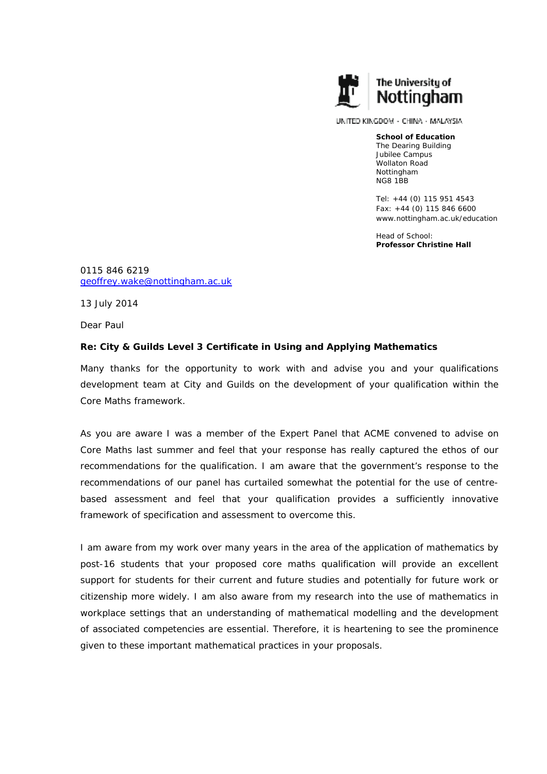

UNITED KINGDOM - CHINA - MALAYSIA

**School of Education** The Dearing Building Jubilee Campus Wollaton Road Nottingham NG8 1BB

Tel: +44 (0) 115 951 4543 Fax: +44 (0) 115 846 6600 www.nottingham.ac.uk/education

Head of School: **Professor Christine Hall** 

0115 846 6219 geoffrey.wake@nottingham.ac.uk

13 July 2014

Dear Paul

## **Re: City & Guilds Level 3 Certificate in Using and Applying Mathematics**

Many thanks for the opportunity to work with and advise you and your qualifications development team at City and Guilds on the development of your qualification within the Core Maths framework.

As you are aware I was a member of the Expert Panel that ACME convened to advise on Core Maths last summer and feel that your response has really captured the ethos of our recommendations for the qualification. I am aware that the government's response to the recommendations of our panel has curtailed somewhat the potential for the use of centrebased assessment and feel that your qualification provides a sufficiently innovative framework of specification and assessment to overcome this.

I am aware from my work over many years in the area of the application of mathematics by post-16 students that your proposed core maths qualification will provide an excellent support for students for their current and future studies and potentially for future work or citizenship more widely. I am also aware from my research into the use of mathematics in workplace settings that an understanding of mathematical modelling and the development of associated competencies are essential. Therefore, it is heartening to see the prominence given to these important mathematical practices in your proposals.